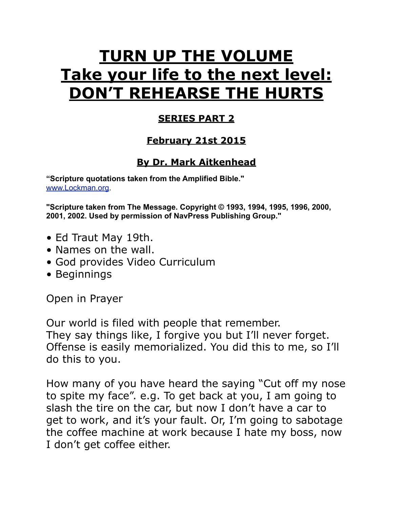# **TURN UP THE VOLUME Take your life to the next level: DON'T REHEARSE THE HURTS**

#### **SERIES PART 2**

#### **February 21st 2015**

## **By Dr. Mark Aitkenhead**

**"Scripture quotations taken from the Amplified Bible."**  [www.Lockman.org](http://www.lockman.org/tlf/pqform.php).

**"Scripture taken from The Message. Copyright © 1993, 1994, 1995, 1996, 2000, 2001, 2002. Used by permission of NavPress Publishing Group."**

- Ed Traut May 19th.
- Names on the wall.
- God provides Video Curriculum
- Beginnings

Open in Prayer

Our world is filed with people that remember. They say things like, I forgive you but I'll never forget. Offense is easily memorialized. You did this to me, so I'll do this to you.

How many of you have heard the saying "Cut off my nose to spite my face". e.g. To get back at you, I am going to slash the tire on the car, but now I don't have a car to get to work, and it's your fault. Or, I'm going to sabotage the coffee machine at work because I hate my boss, now I don't get coffee either.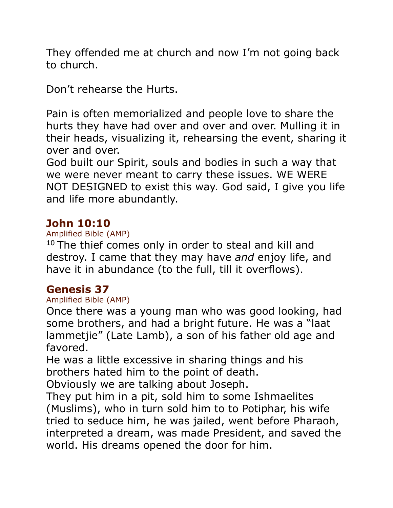They offended me at church and now I'm not going back to church.

Don't rehearse the Hurts.

Pain is often memorialized and people love to share the hurts they have had over and over and over. Mulling it in their heads, visualizing it, rehearsing the event, sharing it over and over.

God built our Spirit, souls and bodies in such a way that we were never meant to carry these issues. WE WERE NOT DESIGNED to exist this way. God said, I give you life and life more abundantly.

#### **John 10:10**

#### Amplified Bible (AMP)

 $10$  The thief comes only in order to steal and kill and destroy. I came that they may have *and* enjoy life, and have it in abundance (to the full, till it overflows).

#### **Genesis 37**

#### Amplified Bible (AMP)

Once there was a young man who was good looking, had some brothers, and had a bright future. He was a "laat lammetjie" (Late Lamb), a son of his father old age and favored.

He was a little excessive in sharing things and his brothers hated him to the point of death.

Obviously we are talking about Joseph.

They put him in a pit, sold him to some Ishmaelites (Muslims), who in turn sold him to to Potiphar, his wife tried to seduce him, he was jailed, went before Pharaoh, interpreted a dream, was made President, and saved the world. His dreams opened the door for him.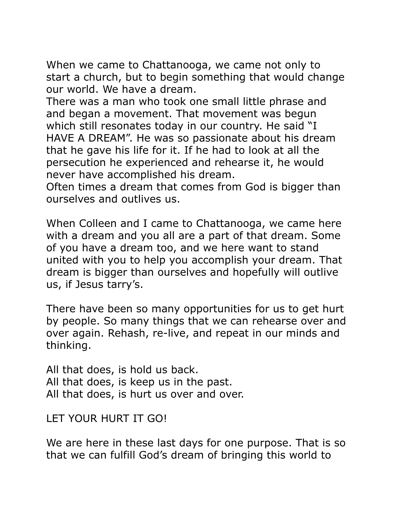When we came to Chattanooga, we came not only to start a church, but to begin something that would change our world. We have a dream.

There was a man who took one small little phrase and and began a movement. That movement was begun which still resonates today in our country. He said "I HAVE A DREAM". He was so passionate about his dream that he gave his life for it. If he had to look at all the persecution he experienced and rehearse it, he would never have accomplished his dream.

Often times a dream that comes from God is bigger than ourselves and outlives us.

When Colleen and I came to Chattanooga, we came here with a dream and you all are a part of that dream. Some of you have a dream too, and we here want to stand united with you to help you accomplish your dream. That dream is bigger than ourselves and hopefully will outlive us, if Jesus tarry's.

There have been so many opportunities for us to get hurt by people. So many things that we can rehearse over and over again. Rehash, re-live, and repeat in our minds and thinking.

All that does, is hold us back. All that does, is keep us in the past. All that does, is hurt us over and over.

LET YOUR HURT IT GO!

We are here in these last days for one purpose. That is so that we can fulfill God's dream of bringing this world to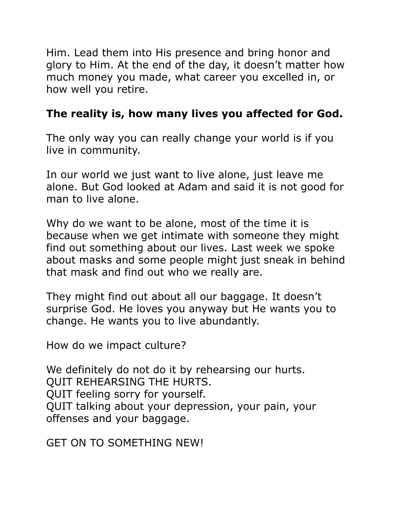Him. Lead them into His presence and bring honor and glory to Him. At the end of the day, it doesn't matter how much money you made, what career you excelled in, or how well you retire.

## **The reality is, how many lives you affected for God.**

The only way you can really change your world is if you live in community.

In our world we just want to live alone, just leave me alone. But God looked at Adam and said it is not good for man to live alone.

Why do we want to be alone, most of the time it is because when we get intimate with someone they might find out something about our lives. Last week we spoke about masks and some people might just sneak in behind that mask and find out who we really are.

They might find out about all our baggage. It doesn't surprise God. He loves you anyway but He wants you to change. He wants you to live abundantly.

How do we impact culture?

We definitely do not do it by rehearsing our hurts. QUIT REHEARSING THE HURTS. QUIT feeling sorry for yourself. QUIT talking about your depression, your pain, your offenses and your baggage.

GET ON TO SOMETHING NEW!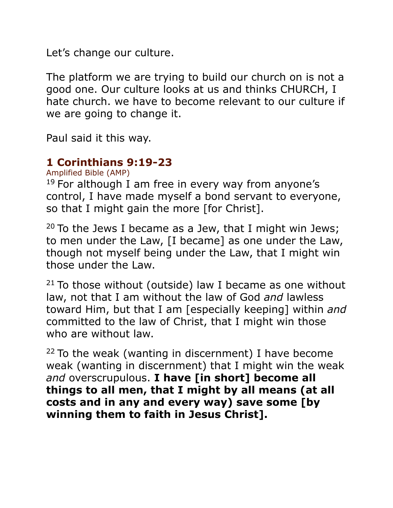Let's change our culture.

The platform we are trying to build our church on is not a good one. Our culture looks at us and thinks CHURCH, I hate church. we have to become relevant to our culture if we are going to change it.

Paul said it this way.

# **1 Corinthians 9:19-23**

Amplified Bible (AMP)

 $19$  For although I am free in every way from anyone's control, I have made myself a bond servant to everyone, so that I might gain the more [for Christ].

<sup>20</sup> To the Jews I became as a Jew, that I might win Jews; to men under the Law, [I became] as one under the Law, though not myself being under the Law, that I might win those under the Law.

 $21$  To those without (outside) law I became as one without law, not that I am without the law of God *and* lawless toward Him, but that I am [especially keeping] within *and* committed to the law of Christ, that I might win those who are without law.

 $22$  To the weak (wanting in discernment) I have become weak (wanting in discernment) that I might win the weak *and* overscrupulous. **I have [in short] become all things to all men, that I might by all means (at all costs and in any and every way) save some [by winning them to faith in Jesus Christ].**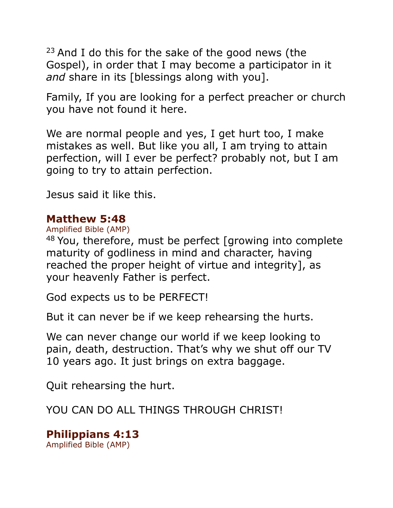$23$  And I do this for the sake of the good news (the Gospel), in order that I may become a participator in it *and* share in its [blessings along with you].

Family, If you are looking for a perfect preacher or church you have not found it here.

We are normal people and yes, I get hurt too, I make mistakes as well. But like you all, I am trying to attain perfection, will I ever be perfect? probably not, but I am going to try to attain perfection.

Jesus said it like this.

#### **Matthew 5:48**

Amplified Bible (AMP)

48 You, therefore, must be perfect [growing into complete maturity of godliness in mind and character, having reached the proper height of virtue and integrity], as your heavenly Father is perfect.

God expects us to be PERFECT!

But it can never be if we keep rehearsing the hurts.

We can never change our world if we keep looking to pain, death, destruction. That's why we shut off our TV 10 years ago. It just brings on extra baggage.

Quit rehearsing the hurt.

YOU CAN DO ALL THINGS THROUGH CHRIST!

**Philippians 4:13** Amplified Bible (AMP)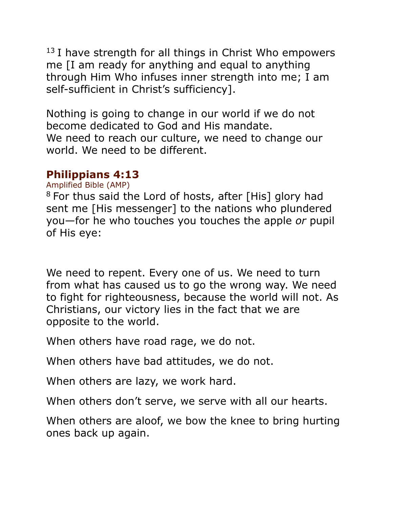$13$  I have strength for all things in Christ Who empowers me [I am ready for anything and equal to anything through Him Who infuses inner strength into me; I am self-sufficient in Christ's sufficiency].

Nothing is going to change in our world if we do not become dedicated to God and His mandate. We need to reach our culture, we need to change our world. We need to be different.

## **Philippians 4:13**

Amplified Bible (AMP)

<sup>8</sup> For thus said the Lord of hosts, after [His] glory had sent me [His messenger] to the nations who plundered you—for he who touches you touches the apple *or* pupil of His eye:

We need to repent. Every one of us. We need to turn from what has caused us to go the wrong way. We need to fight for righteousness, because the world will not. As Christians, our victory lies in the fact that we are opposite to the world.

When others have road rage, we do not.

When others have bad attitudes, we do not.

When others are lazy, we work hard.

When others don't serve, we serve with all our hearts.

When others are aloof, we bow the knee to bring hurting ones back up again.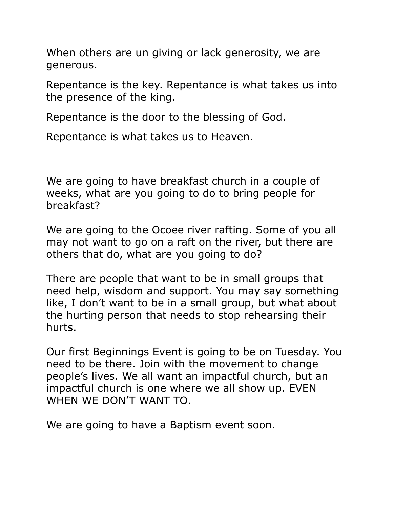When others are un giving or lack generosity, we are generous.

Repentance is the key. Repentance is what takes us into the presence of the king.

Repentance is the door to the blessing of God.

Repentance is what takes us to Heaven.

We are going to have breakfast church in a couple of weeks, what are you going to do to bring people for breakfast?

We are going to the Ocoee river rafting. Some of you all may not want to go on a raft on the river, but there are others that do, what are you going to do?

There are people that want to be in small groups that need help, wisdom and support. You may say something like, I don't want to be in a small group, but what about the hurting person that needs to stop rehearsing their hurts.

Our first Beginnings Event is going to be on Tuesday. You need to be there. Join with the movement to change people's lives. We all want an impactful church, but an impactful church is one where we all show up. EVEN WHEN WE DON'T WANT TO.

We are going to have a Baptism event soon.